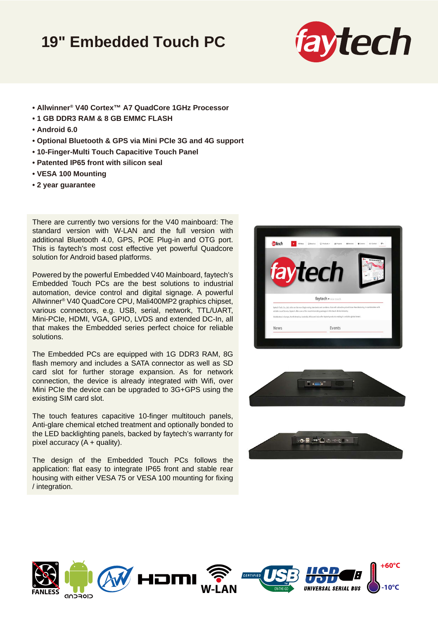## **19" Embedded Touch PC**



- **Allwinner® V40 Cortex™ A7 QuadCore 1GHz Processor**
- **1 GB DDR3 RAM & 8 GB EMMC FLASH**
- **Android 6.0**
- **Optional Bluetooth & GPS via Mini PCIe 3G and 4G support**
- **10-Finger-Multi Touch Capacitive Touch Panel**
- **Patented IP65 front with silicon seal**
- **VESA 100 Mounting**
- **2 year guarantee**

There are currently two versions for the V40 mainboard: The standard version with W-LAN and the full version with additional Bluetooth 4.0, GPS, POE Plug-in and OTG port. This is faytech's most cost effective yet powerful Quadcore solution for Android based platforms.

Powered by the powerful Embedded V40 Mainboard, faytech's Embedded Touch PCs are the best solutions to industrial automation, device control and digital signage. A powerful Allwinner® V40 QuadCore CPU, Mali400MP2 graphics chipset, various connectors, e.g. USB, serial, network, TTL/UART, Mini-PCIe, HDMI, VGA, GPIO, LVDS and extended DC-In, all that makes the Embedded series perfect choice for reliable solutions.

The Embedded PCs are equipped with 1G DDR3 RAM, 8G flash memory and includes a SATA connector as well as SD card slot for further storage expansion. As for network connection, the device is already integrated with Wifi, over Mini PCIe the device can be upgraded to 3G+GPS using the existing SIM card slot.

The touch features capacitive 10-finger multitouch panels, Anti-glare chemical etched treatment and optionally bonded to the LED backlighting panels, backed by faytech's warranty for pixel accuracy  $(A +$  quality).

The design of the Embedded Touch PCs follows the application: flat easy to integrate IP65 front and stable rear housing with either VESA 75 or VESA 100 mounting for fixing / integration.